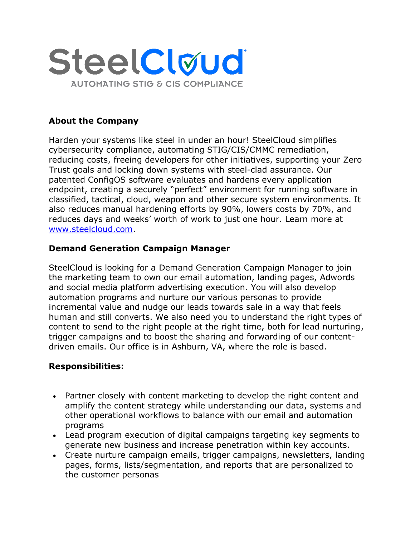

# **About the Company**

Harden your systems like steel in under an hour! SteelCloud simplifies cybersecurity compliance, automating STIG/CIS/CMMC remediation, reducing costs, freeing developers for other initiatives, supporting your Zero Trust goals and locking down systems with steel-clad assurance. Our patented ConfigOS software evaluates and hardens every application endpoint, creating a securely "perfect" environment for running software in classified, tactical, cloud, weapon and other secure system environments. It also reduces manual hardening efforts by 90%, lowers costs by 70%, and reduces days and weeks' worth of work to just one hour. Learn more at [www.steelcloud.com.](http://www.steelcloud.com/)

## **Demand Generation Campaign Manager**

SteelCloud is looking for a Demand Generation Campaign Manager to join the marketing team to own our email automation, landing pages, Adwords and social media platform advertising execution. You will also develop automation programs and nurture our various personas to provide incremental value and nudge our leads towards sale in a way that feels human and still converts. We also need you to understand the right types of content to send to the right people at the right time, both for lead nurturing, trigger campaigns and to boost the sharing and forwarding of our contentdriven emails. Our office is in Ashburn, VA, where the role is based.

### **Responsibilities:**

- Partner closely with content marketing to develop the right content and amplify the content strategy while understanding our data, systems and other operational workflows to balance with our email and automation programs
- Lead program execution of digital campaigns targeting key segments to generate new business and increase penetration within key accounts.
- Create nurture campaign emails, trigger campaigns, newsletters, landing pages, forms, lists/segmentation, and reports that are personalized to the customer personas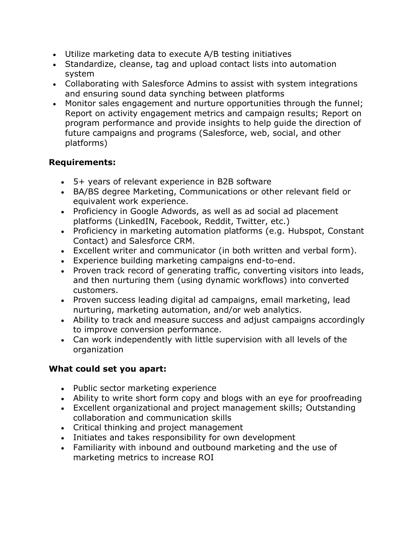- Utilize marketing data to execute A/B testing initiatives
- Standardize, cleanse, tag and upload contact lists into automation system
- Collaborating with Salesforce Admins to assist with system integrations and ensuring sound data synching between platforms
- Monitor sales engagement and nurture opportunities through the funnel; Report on activity engagement metrics and campaign results; Report on program performance and provide insights to help guide the direction of future campaigns and programs (Salesforce, web, social, and other platforms)

# **Requirements:**

- 5+ years of relevant experience in B2B software
- BA/BS degree Marketing, Communications or other relevant field or equivalent work experience.
- Proficiency in Google Adwords, as well as ad social ad placement platforms (LinkedIN, Facebook, Reddit, Twitter, etc.)
- Proficiency in marketing automation platforms (e.g. Hubspot, Constant Contact) and Salesforce CRM.
- Excellent writer and communicator (in both written and verbal form).
- Experience building marketing campaigns end-to-end.
- Proven track record of generating traffic, converting visitors into leads, and then nurturing them (using dynamic workflows) into converted customers.
- Proven success leading digital ad campaigns, email marketing, lead nurturing, marketing automation, and/or web analytics.
- Ability to track and measure success and adjust campaigns accordingly to improve conversion performance.
- Can work independently with little supervision with all levels of the organization

# **What could set you apart:**

- Public sector marketing experience
- Ability to write short form copy and blogs with an eye for proofreading
- Excellent organizational and project management skills; Outstanding collaboration and communication skills
- Critical thinking and project management
- Initiates and takes responsibility for own development
- Familiarity with inbound and outbound marketing and the use of marketing metrics to increase ROI